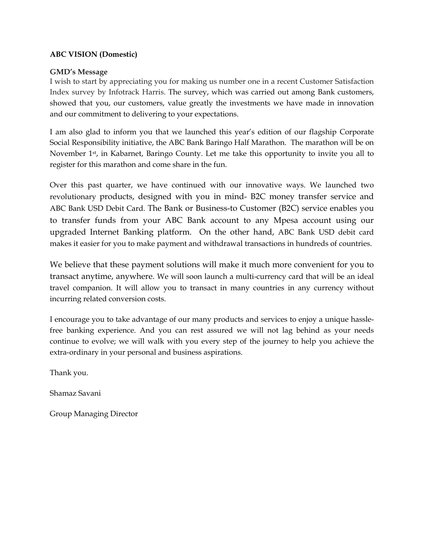#### ABC VISION (Domestic)

#### GMD's Message

I wish to start by appreciating you for making us number one in a recent Customer Satisfaction Index survey by Infotrack Harris. The survey, which was carried out among Bank customers, showed that you, our customers, value greatly the investments we have made in innovation and our commitment to delivering to your expectations.

I am also glad to inform you that we launched this year's edition of our flagship Corporate Social Responsibility initiative, the ABC Bank Baringo Half Marathon. The marathon will be on November 1st, in Kabarnet, Baringo County. Let me take this opportunity to invite you all to register for this marathon and come share in the fun.

Over this past quarter, we have continued with our innovative ways. We launched two revolutionary products, designed with you in mind- B2C money transfer service and ABC Bank USD Debit Card. The Bank or Business-to Customer (B2C) service enables you to transfer funds from your ABC Bank account to any Mpesa account using our upgraded Internet Banking platform. On the other hand, ABC Bank USD debit card makes it easier for you to make payment and withdrawal transactions in hundreds of countries.

We believe that these payment solutions will make it much more convenient for you to transact anytime, anywhere. We will soon launch a multi-currency card that will be an ideal travel companion. It will allow you to transact in many countries in any currency without incurring related conversion costs.

I encourage you to take advantage of our many products and services to enjoy a unique hasslefree banking experience. And you can rest assured we will not lag behind as your needs continue to evolve; we will walk with you every step of the journey to help you achieve the extra-ordinary in your personal and business aspirations.

Thank you.

Shamaz Savani

Group Managing Director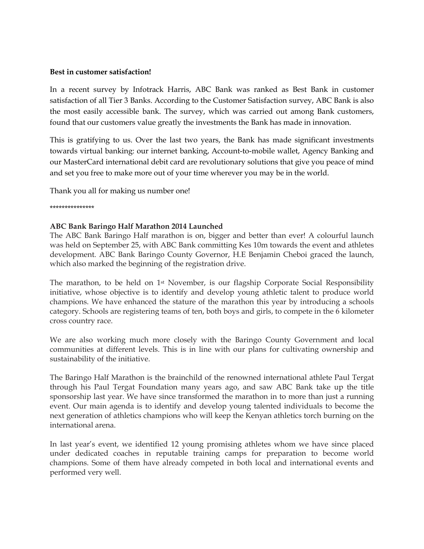#### Best in customer satisfaction!

In a recent survey by Infotrack Harris, ABC Bank was ranked as Best Bank in customer satisfaction of all Tier 3 Banks. According to the Customer Satisfaction survey, ABC Bank is also the most easily accessible bank. The survey, which was carried out among Bank customers, found that our customers value greatly the investments the Bank has made in innovation.

This is gratifying to us. Over the last two years, the Bank has made significant investments towards virtual banking: our internet banking, Account-to-mobile wallet, Agency Banking and our MasterCard international debit card are revolutionary solutions that give you peace of mind and set you free to make more out of your time wherever you may be in the world.

Thank you all for making us number one!

\*\*\*\*\*\*\*\*\*\*\*\*\*\*\*

#### ABC Bank Baringo Half Marathon 2014 Launched

The ABC Bank Baringo Half marathon is on, bigger and better than ever! A colourful launch was held on September 25, with ABC Bank committing Kes 10m towards the event and athletes development. ABC Bank Baringo County Governor, H.E Benjamin Cheboi graced the launch, which also marked the beginning of the registration drive.

The marathon, to be held on 1st November, is our flagship Corporate Social Responsibility initiative, whose objective is to identify and develop young athletic talent to produce world champions. We have enhanced the stature of the marathon this year by introducing a schools category. Schools are registering teams of ten, both boys and girls, to compete in the 6 kilometer cross country race.

We are also working much more closely with the Baringo County Government and local communities at different levels. This is in line with our plans for cultivating ownership and sustainability of the initiative.

The Baringo Half Marathon is the brainchild of the renowned international athlete Paul Tergat through his Paul Tergat Foundation many years ago, and saw ABC Bank take up the title sponsorship last year. We have since transformed the marathon in to more than just a running event. Our main agenda is to identify and develop young talented individuals to become the next generation of athletics champions who will keep the Kenyan athletics torch burning on the international arena.

In last year's event, we identified 12 young promising athletes whom we have since placed under dedicated coaches in reputable training camps for preparation to become world champions. Some of them have already competed in both local and international events and performed very well.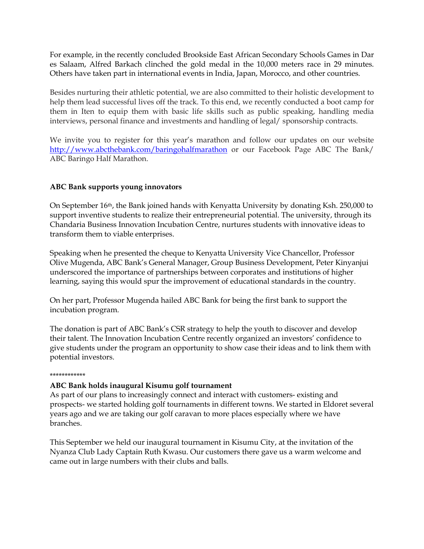For example, in the recently concluded Brookside East African Secondary Schools Games in Dar es Salaam, Alfred Barkach clinched the gold medal in the 10,000 meters race in 29 minutes. Others have taken part in international events in India, Japan, Morocco, and other countries.

Besides nurturing their athletic potential, we are also committed to their holistic development to help them lead successful lives off the track. To this end, we recently conducted a boot camp for them in Iten to equip them with basic life skills such as public speaking, handling media interviews, personal finance and investments and handling of legal/ sponsorship contracts.

We invite you to register for this year's marathon and follow our updates on our website http://www.abcthebank.com/baringohalfmarathon or our Facebook Page ABC The Bank/ ABC Baringo Half Marathon.

### ABC Bank supports young innovators

On September 16th, the Bank joined hands with Kenyatta University by donating Ksh. 250,000 to support inventive students to realize their entrepreneurial potential. The university, through its Chandaria Business Innovation Incubation Centre, nurtures students with innovative ideas to transform them to viable enterprises.

Speaking when he presented the cheque to Kenyatta University Vice Chancellor, Professor Olive Mugenda, ABC Bank's General Manager, Group Business Development, Peter Kinyanjui underscored the importance of partnerships between corporates and institutions of higher learning, saying this would spur the improvement of educational standards in the country.

On her part, Professor Mugenda hailed ABC Bank for being the first bank to support the incubation program.

The donation is part of ABC Bank's CSR strategy to help the youth to discover and develop their talent. The Innovation Incubation Centre recently organized an investors' confidence to give students under the program an opportunity to show case their ideas and to link them with potential investors.

#### \*\*\*\*\*\*\*\*\*\*\*\*

#### ABC Bank holds inaugural Kisumu golf tournament

As part of our plans to increasingly connect and interact with customers- existing and prospects- we started holding golf tournaments in different towns. We started in Eldoret several years ago and we are taking our golf caravan to more places especially where we have branches.

This September we held our inaugural tournament in Kisumu City, at the invitation of the Nyanza Club Lady Captain Ruth Kwasu. Our customers there gave us a warm welcome and came out in large numbers with their clubs and balls.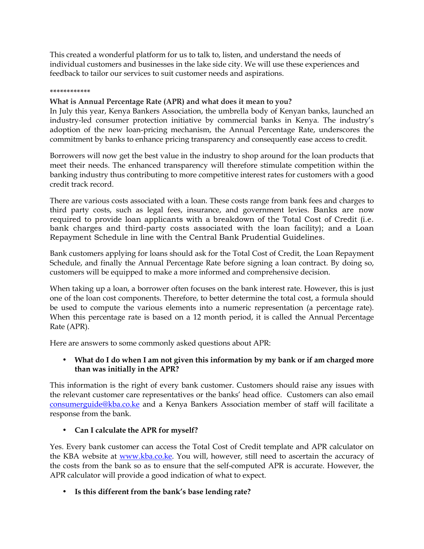This created a wonderful platform for us to talk to, listen, and understand the needs of individual customers and businesses in the lake side city. We will use these experiences and feedback to tailor our services to suit customer needs and aspirations.

#### \*\*\*\*\*\*\*\*\*\*\*\*

### What is Annual Percentage Rate (APR) and what does it mean to you?

In July this year, Kenya Bankers Association, the umbrella body of Kenyan banks, launched an industry-led consumer protection initiative by commercial banks in Kenya. The industry's adoption of the new loan-pricing mechanism, the Annual Percentage Rate, underscores the commitment by banks to enhance pricing transparency and consequently ease access to credit.

Borrowers will now get the best value in the industry to shop around for the loan products that meet their needs. The enhanced transparency will therefore stimulate competition within the banking industry thus contributing to more competitive interest rates for customers with a good credit track record.

There are various costs associated with a loan. These costs range from bank fees and charges to third party costs, such as legal fees, insurance, and government levies. Banks are now required to provide loan applicants with a breakdown of the Total Cost of Credit (i.e. bank charges and third-party costs associated with the loan facility); and a Loan Repayment Schedule in line with the Central Bank Prudential Guidelines.

Bank customers applying for loans should ask for the Total Cost of Credit, the Loan Repayment Schedule, and finally the Annual Percentage Rate before signing a loan contract. By doing so, customers will be equipped to make a more informed and comprehensive decision.

When taking up a loan, a borrower often focuses on the bank interest rate. However, this is just one of the loan cost components. Therefore, to better determine the total cost, a formula should be used to compute the various elements into a numeric representation (a percentage rate). When this percentage rate is based on a 12 month period, it is called the Annual Percentage Rate (APR).

Here are answers to some commonly asked questions about APR:

### • What do I do when I am not given this information by my bank or if am charged more than was initially in the APR?

This information is the right of every bank customer. Customers should raise any issues with the relevant customer care representatives or the banks' head office. Customers can also email consumerguide@kba.co.ke and a Kenya Bankers Association member of staff will facilitate a response from the bank.

# • Can I calculate the APR for myself?

Yes. Every bank customer can access the Total Cost of Credit template and APR calculator on the KBA website at www.kba.co.ke. You will, however, still need to ascertain the accuracy of the costs from the bank so as to ensure that the self-computed APR is accurate. However, the APR calculator will provide a good indication of what to expect.

• Is this different from the bank's base lending rate?